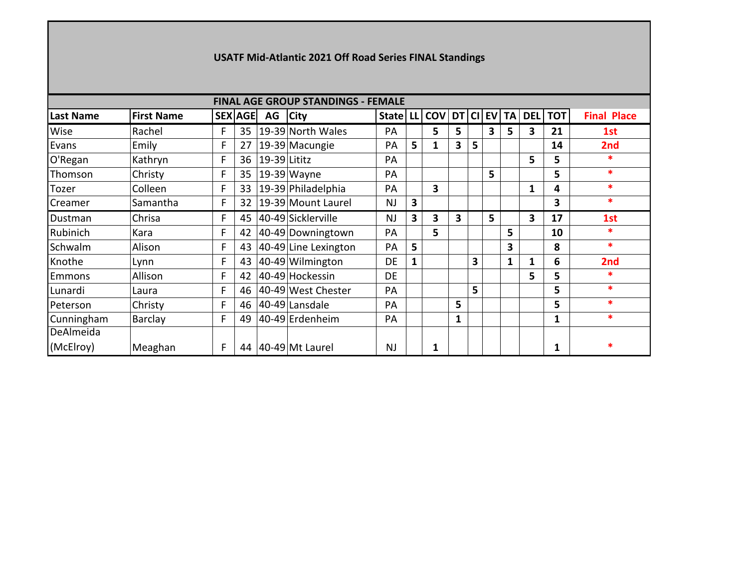## **USATF Mid-Atlantic 2021 Off Road Series FINAL Standings**

|                  | <b>FINAL AGE GROUP STANDINGS - FEMALE</b> |   |                 |              |                      |           |                         |                 |   |   |   |              |   |                |                    |
|------------------|-------------------------------------------|---|-----------------|--------------|----------------------|-----------|-------------------------|-----------------|---|---|---|--------------|---|----------------|--------------------|
| <b>Last Name</b> | <b>First Name</b>                         |   | <b>SEX AGE</b>  | AG           | <b>City</b>          | State     | LL                      | COV DT CI EV TA |   |   |   |              |   | <b>DEL TOT</b> | <b>Final Place</b> |
| Wise             | Rachel                                    | F | 35 <sub>2</sub> |              | 19-39 North Wales    | PA        |                         | 5               | 5 |   | 3 | 5            | 3 | 21             | 1st                |
| Evans            | Emily                                     | F | 27              |              | 19-39 Macungie       | PA        | 5                       | 1               | 3 | 5 |   |              |   | 14             | 2nd                |
| O'Regan          | Kathryn                                   | F | 36              | 19-39 Lititz |                      | PA        |                         |                 |   |   |   |              | 5 | 5              | $\ast$             |
| Thomson          | Christy                                   | F | 35              |              | $19-39$ Wayne        | PA        |                         |                 |   |   | 5 |              |   | 5              | $\ast$             |
| Tozer            | Colleen                                   | F | 33              |              | 19-39 Philadelphia   | PA        |                         | 3               |   |   |   |              | 1 | 4              | $\ast$             |
| Creamer          | Samantha                                  | F | 32              |              | 19-39 Mount Laurel   | <b>NJ</b> | 3                       |                 |   |   |   |              |   | 3              | $\ast$             |
| Dustman          | Chrisa                                    | F | 45              |              | 40-49 Sicklerville   | <b>NJ</b> | $\overline{\mathbf{3}}$ | 3               | 3 |   | 5 |              | 3 | 17             | 1st                |
| Rubinich         | Kara                                      | F | 42              |              | 40-49 Downingtown    | PA        |                         | 5               |   |   |   | 5            |   | 10             | $\ast$             |
| Schwalm          | Alison                                    | F | 43              |              | 40-49 Line Lexington | PA        | 5                       |                 |   |   |   | 3            |   | 8              | $\ast$             |
| Knothe           | Lynn                                      | F | 43              |              | 40-49 Wilmington     | DE        | 1                       |                 |   | 3 |   | $\mathbf{1}$ | 1 | 6              | 2nd                |
| Emmons           | Allison                                   | F | 42              |              | 40-49 Hockessin      | <b>DE</b> |                         |                 |   |   |   |              | 5 | 5              | $\ast$             |
| Lunardi          | Laura                                     | F | 46              |              | 40-49 West Chester   | PA        |                         |                 |   | 5 |   |              |   | 5              | $\ast$             |
| Peterson         | Christy                                   | F | 46              |              | 40-49 Lansdale       | PA        |                         |                 | 5 |   |   |              |   | 5              | $\ast$             |
| Cunningham       | <b>Barclay</b>                            | F | 49              |              | 40-49 Erdenheim      | PA        |                         |                 | 1 |   |   |              |   |                | $\ast$             |
| DeAlmeida        |                                           |   |                 |              |                      |           |                         |                 |   |   |   |              |   |                |                    |
| (McElroy)        | Meaghan                                   | F | 44              |              | 40-49 Mt Laurel      | <b>NJ</b> |                         | 1               |   |   |   |              |   |                | *                  |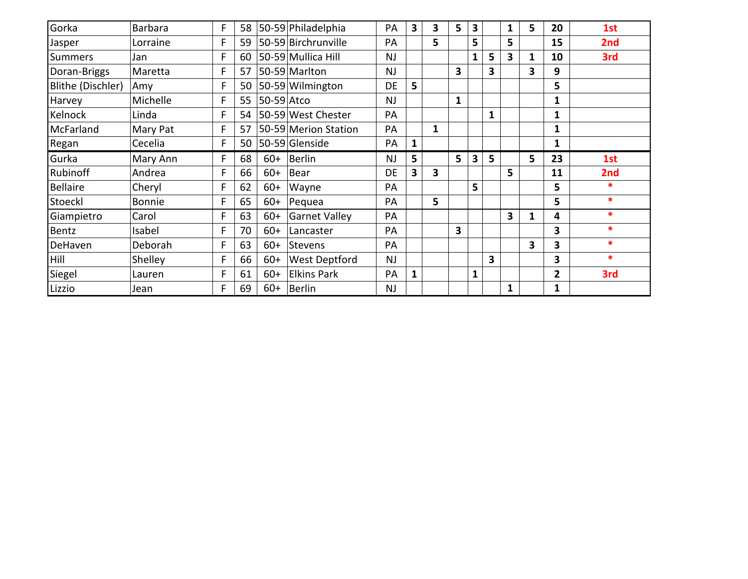| Gorka             | Barbara  | F | 58 |            | 50-59 Philadelphia   | <b>PA</b> | 3            | 3 | $5\phantom{1}$ | 3            |              | $\mathbf{1}$ | 5 | 20 | 1st    |
|-------------------|----------|---|----|------------|----------------------|-----------|--------------|---|----------------|--------------|--------------|--------------|---|----|--------|
| Jasper            | Lorraine |   | 59 |            | 50-59 Birchrunville  | PA        |              | 5 |                | 5            |              | 5            |   | 15 | 2nd    |
| <b>Summers</b>    | Jan      | F | 60 |            | 50-59 Mullica Hill   | <b>NJ</b> |              |   |                | $\mathbf{1}$ | 5            | $\mathbf{3}$ | 1 | 10 | 3rd    |
| Doran-Briggs      | Maretta  |   | 57 |            | 50-59 Marlton        | NJ        |              |   | 3              |              | 3            |              | 3 | 9  |        |
| Blithe (Dischler) | Amy      | F | 50 |            | 50-59 Wilmington     | <b>DE</b> | 5            |   |                |              |              |              |   | 5  |        |
| Harvey            | Michelle | F | 55 | 50-59 Atco |                      | <b>NJ</b> |              |   | $\mathbf{1}$   |              |              |              |   | 1  |        |
| Kelnock           | Linda    | F | 54 |            | 50-59 West Chester   | PA        |              |   |                |              | $\mathbf{1}$ |              |   | 1  |        |
| McFarland         | Mary Pat | E | 57 |            | 50-59 Merion Station | PA        |              | 1 |                |              |              |              |   | 1  |        |
| Regan             | Cecelia  | F | 50 |            | 50-59 Glenside       | PA        | $\mathbf{1}$ |   |                |              |              |              |   | 1  |        |
| Gurka             | Mary Ann | F | 68 | $60+$      | Berlin               | <b>NJ</b> | 5            |   | 5              | 3            | 5            |              | 5 | 23 | 1st    |
| Rubinoff          | Andrea   |   | 66 | $60+$      | Bear                 | DE        | 3            | 3 |                |              |              | 5            |   | 11 | 2nd    |
| <b>Bellaire</b>   | Cheryl   | F | 62 | $60+$      | Wayne                | PA        |              |   |                | 5            |              |              |   | 5  | $\ast$ |
| Stoeckl           | Bonnie   | F | 65 | $60+$      | Pequea               | PA        |              | 5 |                |              |              |              |   | 5  | $\ast$ |
| Giampietro        | Carol    | F | 63 | $60+$      | <b>Garnet Valley</b> | PA        |              |   |                |              |              | 3            | 1 | 4  | $\ast$ |
| Bentz             | Isabel   | F | 70 | $60+$      | Lancaster            | PA        |              |   | 3              |              |              |              |   | 3  | $\ast$ |
| DeHaven           | Deborah  | F | 63 | $60+$      | Stevens              | PA        |              |   |                |              |              |              | 3 | 3  | $\ast$ |
| Hill              | Shelley  | F | 66 | $60+$      | <b>West Deptford</b> | <b>NJ</b> |              |   |                |              | 3            |              |   | 3  | $\ast$ |
| Siegel            | Lauren   |   | 61 | $60+$      | <b>Elkins Park</b>   | PA        | $\mathbf{1}$ |   |                | $\mathbf{1}$ |              |              |   | 2  | 3rd    |
| Lizzio            | Jean     | F | 69 | $60+$      | Berlin               | <b>NJ</b> |              |   |                |              |              | $\mathbf{1}$ |   | 1  |        |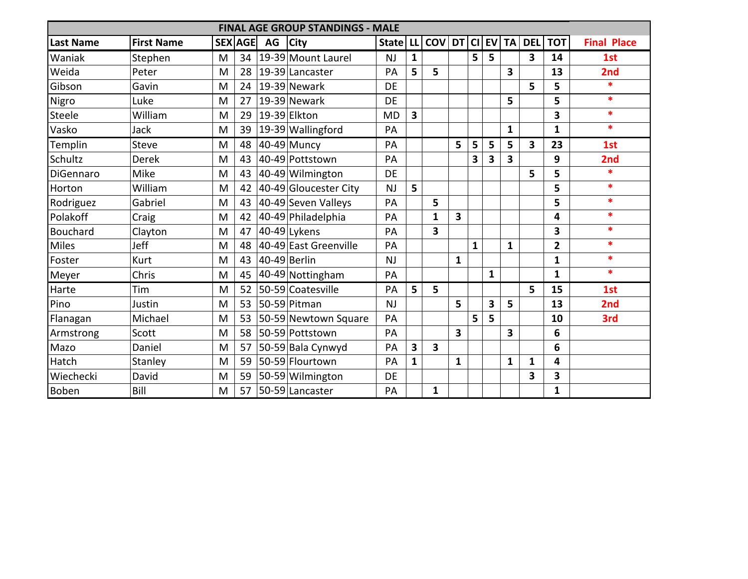|                  |                   |   |                |    | <b>FINAL AGE GROUP STANDINGS - MALE</b> |           |    |              |              |   |           |              |        |                |                    |
|------------------|-------------------|---|----------------|----|-----------------------------------------|-----------|----|--------------|--------------|---|-----------|--------------|--------|----------------|--------------------|
| <b>Last Name</b> | <b>First Name</b> |   | <b>SEX AGE</b> | AG | <b>City</b>                             | State     | LL | COV DT CI    |              |   | <b>EV</b> |              | TA DEL | $ $ TOT $ $    | <b>Final Place</b> |
| Waniak           | Stephen           | M | 34             |    | 19-39 Mount Laurel                      | <b>NJ</b> | 1  |              |              | 5 | 5         |              | 3      | 14             | 1st                |
| Weida            | Peter             | M | 28             |    | 19-39 Lancaster                         | PA        | 5  | 5            |              |   |           | 3            |        | 13             | 2nd                |
| Gibson           | Gavin             | M | 24             |    | 19-39 Newark                            | <b>DE</b> |    |              |              |   |           |              | 5      | 5              | *                  |
| Nigro            | Luke              | M | 27             |    | 19-39 Newark                            | <b>DE</b> |    |              |              |   |           | 5            |        | 5              | $\ast$             |
| Steele           | William           | M | 29             |    | 19-39 Elkton                            | <b>MD</b> | 3  |              |              |   |           |              |        | 3              | $\ast$             |
| Vasko            | Jack              | M | 39             |    | 19-39 Wallingford                       | PA        |    |              |              |   |           | 1            |        | $\mathbf{1}$   | $\ast$             |
| Templin          | Steve             | M | 48             |    | $40-49$ Muncy                           | PA        |    |              | 5            | 5 | 5         | 5            | 3      | 23             | 1st                |
| Schultz          | <b>Derek</b>      | M | 43             |    | 40-49 Pottstown                         | PA        |    |              |              | 3 | 3         | 3            |        | 9              | 2nd                |
| DiGennaro        | Mike              | M | 43             |    | 40-49 Wilmington                        | <b>DE</b> |    |              |              |   |           |              | 5      | 5              | *                  |
| Horton           | William           | M | 42             |    | 40-49 Gloucester City                   | <b>NJ</b> | 5  |              |              |   |           |              |        | 5              | $\ast$             |
| Rodriguez        | Gabriel           | M | 43             |    | 40-49 Seven Valleys                     | PA        |    | 5            |              |   |           |              |        | 5              | $\ast$             |
| Polakoff         | Craig             | M | 42             |    | 40-49 Philadelphia                      | PA        |    | $\mathbf{1}$ | 3            |   |           |              |        | 4              | $\ast$             |
| Bouchard         | Clayton           | M | 47             |    | 40-49 Lykens                            | PA        |    | 3            |              |   |           |              |        | 3              | $\ast$             |
| Miles            | Jeff              | M | 48             |    | 40-49 East Greenville                   | PA        |    |              |              | 1 |           | $\mathbf{1}$ |        | $\overline{2}$ | $\ast$             |
| Foster           | Kurt              | M | 43             |    | $40-49$ Berlin                          | <b>NJ</b> |    |              | $\mathbf{1}$ |   |           |              |        | 1              | $\ast$             |
| Meyer            | Chris             | M | 45             |    | 40-49 Nottingham                        | PA        |    |              |              |   | 1         |              |        | 1              | $\ast$             |
| Harte            | Tim               | M | 52             |    | 50-59 Coatesville                       | PA        | 5  | 5            |              |   |           |              | 5      | 15             | 1st                |
| Pino             | Justin            | M | 53             |    | 50-59 Pitman                            | NJ        |    |              | 5            |   | 3         | 5            |        | 13             | 2nd                |
| Flanagan         | Michael           | M | 53             |    | 50-59 Newtown Square                    | PA        |    |              |              | 5 | 5         |              |        | 10             | 3rd                |
| Armstrong        | Scott             | M | 58             |    | 50-59 Pottstown                         | PA        |    |              | 3            |   |           | 3            |        | 6              |                    |
| Mazo             | Daniel            | M | 57             |    | 50-59 Bala Cynwyd                       | PA        | 3  | 3            |              |   |           |              |        | 6              |                    |
| Hatch            | Stanley           | M | 59             |    | 50-59 Flourtown                         | PA        | 1  |              | $\mathbf{1}$ |   |           | 1            | 1      | 4              |                    |
| Wiechecki        | David             | M | 59             |    | 50-59 Wilmington                        | <b>DE</b> |    |              |              |   |           |              | 3      | 3              |                    |
| <b>Boben</b>     | Bill              | M | 57             |    | 50-59 Lancaster                         | PA        |    | $\mathbf{1}$ |              |   |           |              |        | $\mathbf{1}$   |                    |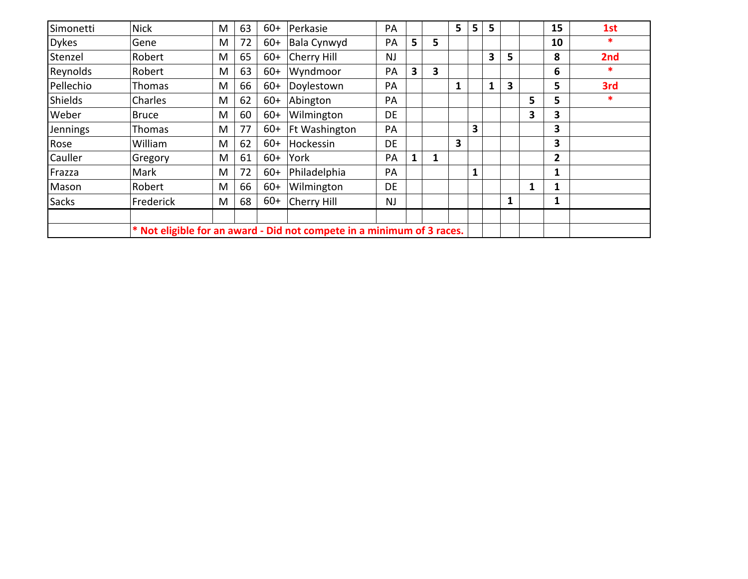| Simonetti      | <b>Nick</b>                                                            | M | 63 | $60+$ | Perkasie      | PA        |   |   | 5 | 5 | 5 |   |   | 15             | 1st    |
|----------------|------------------------------------------------------------------------|---|----|-------|---------------|-----------|---|---|---|---|---|---|---|----------------|--------|
| <b>Dykes</b>   | Gene                                                                   | M | 72 | $60+$ | Bala Cynwyd   | PA        | 5 | 5 |   |   |   |   |   | 10             | $\ast$ |
| Stenzel        | Robert                                                                 | M | 65 | $60+$ | Cherry Hill   | <b>NJ</b> |   |   |   |   | 3 | 5 |   | 8              | 2nd    |
| Reynolds       | Robert                                                                 | M | 63 | $60+$ | Wyndmoor      | PA        | 3 | 3 |   |   |   |   |   | 6              | *      |
| Pellechio      | Thomas                                                                 | M | 66 | $60+$ | Doylestown    | PA        |   |   | 1 |   |   | 3 |   | 5              | 3rd    |
| <b>Shields</b> | Charles                                                                | M | 62 | $60+$ | Abington      | PA        |   |   |   |   |   |   | 5 | 5              | *      |
| Weber          | <b>Bruce</b>                                                           | M | 60 | $60+$ | Wilmington    | DE        |   |   |   |   |   |   | 3 | 3              |        |
| Jennings       | Thomas                                                                 | M | 77 | $60+$ | Ft Washington | PA        |   |   |   | 3 |   |   |   | 3              |        |
| Rose           | William                                                                | M | 62 | $60+$ | Hockessin     | <b>DE</b> |   |   | 3 |   |   |   |   | 3              |        |
| Cauller        | Gregory                                                                | M | 61 | $60+$ | York          | PA        | 1 | 1 |   |   |   |   |   | $\overline{2}$ |        |
| Frazza         | Mark                                                                   | M | 72 | $60+$ | Philadelphia  | PA        |   |   |   |   |   |   |   |                |        |
| Mason          | Robert                                                                 | M | 66 | $60+$ | Wilmington    | DE        |   |   |   |   |   |   | 1 |                |        |
| <b>Sacks</b>   | Frederick                                                              | M | 68 | $60+$ | Cherry Hill   | <b>NJ</b> |   |   |   |   |   | 1 |   |                |        |
|                |                                                                        |   |    |       |               |           |   |   |   |   |   |   |   |                |        |
|                | * Not eligible for an award - Did not compete in a minimum of 3 races. |   |    |       |               |           |   |   |   |   |   |   |   |                |        |